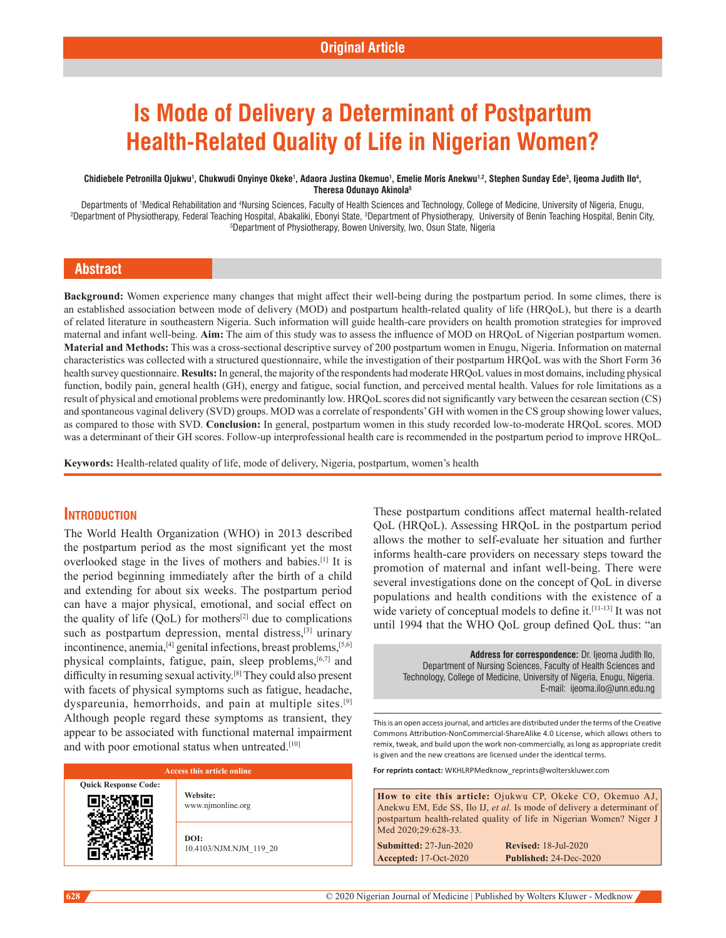# **Is Mode of Delivery a Determinant of Postpartum Health-Related Quality of Life in Nigerian Women?**

#### Chidiebele Petronilla Ojukwu<sup>1</sup>, Chukwudi Onyinye Okeke<sup>1</sup>, Adaora Justina Okemuo<sup>1</sup>, Emelie Moris Anekwu<sup>1,2</sup>, Stephen Sunday Ede<sup>3</sup>, Ijeoma Judith Ilo<sup>4</sup>, **Theresa Odunayo Akinola5**

Departments of 'Medical Rehabilitation and <sup>4</sup>Nursing Sciences, Faculty of Health Sciences and Technology, College of Medicine, University of Nigeria, Enugu,<br>Chenartment of Physiotherany, Federal Teaching Hospital, Abakali Department of Physiotherapy, Federal Teaching Hospital, Abakaliki, Ebonyi State, <sup>3</sup>Department of Physiotherapy, University of Benin Teaching Hospital, Benin City,<br><sup>5</sup>Department of Physiotherapy, Bowen University Jwo Osun Department of Physiotherapy, Bowen University, Iwo, Osun State, Nigeria

# **Abstract**

**Background:** Women experience many changes that might affect their well-being during the postpartum period. In some climes, there is an established association between mode of delivery (MOD) and postpartum health-related quality of life (HRQoL), but there is a dearth of related literature in southeastern Nigeria. Such information will guide health‑care providers on health promotion strategies for improved maternal and infant well‑being. **Aim:** The aim of this study was to assess the influence of MOD on HRQoL of Nigerian postpartum women. **Material and Methods:** This was a cross‑sectional descriptive survey of 200 postpartum women in Enugu, Nigeria. Information on maternal characteristics was collected with a structured questionnaire, while the investigation of their postpartum HRQoL was with the Short Form 36 health survey questionnaire. **Results:** In general, the majority of the respondents had moderate HRQoL values in most domains, including physical function, bodily pain, general health (GH), energy and fatigue, social function, and perceived mental health. Values for role limitations as a result of physical and emotional problems were predominantly low. HRQoL scores did not significantly vary between the cesarean section (CS) and spontaneous vaginal delivery (SVD) groups. MOD was a correlate of respondents' GH with women in the CS group showing lower values, as compared to those with SVD. **Conclusion:** In general, postpartum women in this study recorded low‑to‑moderate HRQoL scores. MOD was a determinant of their GH scores. Follow-up interprofessional health care is recommended in the postpartum period to improve HRQoL.

**Keywords:** Health‑related quality of life, mode of delivery, Nigeria, postpartum, women's health

# **Introduction**

The World Health Organization (WHO) in 2013 described the postpartum period as the most significant yet the most overlooked stage in the lives of mothers and babies.[1] It is the period beginning immediately after the birth of a child and extending for about six weeks. The postpartum period can have a major physical, emotional, and social effect on the quality of life  $(QoL)$  for mothers<sup>[2]</sup> due to complications such as postpartum depression, mental distress,<sup>[3]</sup> urinary incontinence, anemia,<sup>[4]</sup> genital infections, breast problems,<sup>[5,6]</sup> physical complaints, fatigue, pain, sleep problems,[6,7] and difficulty in resuming sexual activity.[8] They could also present with facets of physical symptoms such as fatigue, headache, dyspareunia, hemorrhoids, and pain at multiple sites.[9] Although people regard these symptoms as transient, they appear to be associated with functional maternal impairment and with poor emotional status when untreated.<sup>[10]</sup>

## **Access this article online**

**Quick Response Code:**

**Website:** www.njmonline.org

**DOI:** 10.4103/NJM.NJM\_119\_20 These postpartum conditions affect maternal health-related QoL (HRQoL). Assessing HRQoL in the postpartum period allows the mother to self-evaluate her situation and further informs health-care providers on necessary steps toward the promotion of maternal and infant well-being. There were several investigations done on the concept of QoL in diverse populations and health conditions with the existence of a wide variety of conceptual models to define it.<sup>[11-13]</sup> It was not until 1994 that the WHO QoL group defined QoL thus: "an

**Address for correspondence:** Dr. Ijeoma Judith Ilo, Department of Nursing Sciences, Faculty of Health Sciences and Technology, College of Medicine, University of Nigeria, Enugu, Nigeria. E-mail: ijeoma.ilo@unn.edu.ng

This is an open access journal, and articles are distributed under the terms of the Creative Commons Attribution‑NonCommercial‑ShareAlike 4.0 License, which allows others to remix, tweak, and build upon the work non‑commercially, as long as appropriate credit is given and the new creations are licensed under the identical terms.

**For reprints contact:** WKHLRPMedknow\_reprints@wolterskluwer.com

**How to cite this article:** Ojukwu CP, Okeke CO, Okemuo AJ, Anekwu EM, Ede SS, Ilo IJ, *et al*. Is mode of delivery a determinant of postpartum health-related quality of life in Nigerian Women? Niger J Med 2020;29:628-33. **Submitted:** 27-Jun-2020 **Revised:** 18-Jul-2020

**Accepted:** 17-Oct-2020 **Published:** 24-Dec-2020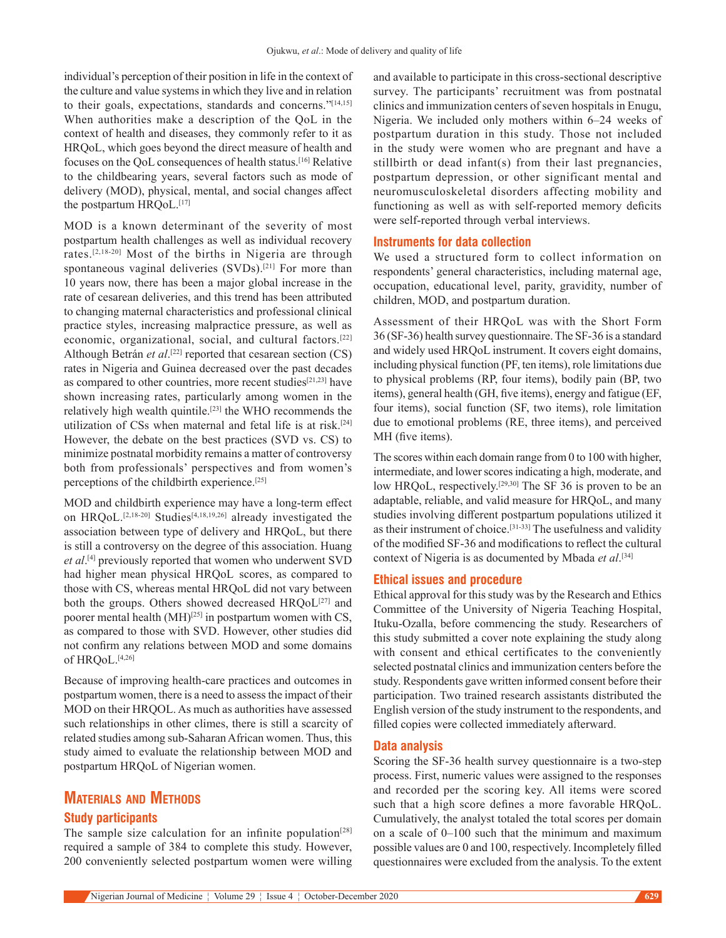individual's perception of their position in life in the context of the culture and value systems in which they live and in relation to their goals, expectations, standards and concerns."[14,15] When authorities make a description of the QoL in the context of health and diseases, they commonly refer to it as HRQoL, which goes beyond the direct measure of health and focuses on the QoL consequences of health status.[16] Relative to the childbearing years, several factors such as mode of delivery (MOD), physical, mental, and social changes affect the postpartum HRQoL.<sup>[17]</sup>

MOD is a known determinant of the severity of most postpartum health challenges as well as individual recovery rates.[2,18-20] Most of the births in Nigeria are through spontaneous vaginal deliveries (SVDs).<sup>[21]</sup> For more than 10 years now, there has been a major global increase in the rate of cesarean deliveries, and this trend has been attributed to changing maternal characteristics and professional clinical practice styles, increasing malpractice pressure, as well as economic, organizational, social, and cultural factors.[22] Although Betrán *et al*.<sup>[22]</sup> reported that cesarean section (CS) rates in Nigeria and Guinea decreased over the past decades as compared to other countries, more recent studies<sup>[21,23]</sup> have shown increasing rates, particularly among women in the relatively high wealth quintile.[23] the WHO recommends the utilization of CSs when maternal and fetal life is at risk.<sup>[24]</sup> However, the debate on the best practices (SVD vs. CS) to minimize postnatal morbidity remains a matter of controversy both from professionals' perspectives and from women's perceptions of the childbirth experience.[25]

MOD and childbirth experience may have a long-term effect on HRQoL.[2,18-20] Studies[4,18,19,26] already investigated the association between type of delivery and  HRQoL, but there is still a controversy on the degree of this association. Huang *et al*. [4] previously reported that women who underwent SVD had higher mean physical HRQoL  scores, as compared to those with CS, whereas mental HRQoL did not vary between both the groups. Others showed decreased  $HRQoL^{[27]}$  and poorer mental health  $(MH)^{[25]}$  in postpartum women with CS, as compared to those with SVD. However, other studies did not confirm any relations between MOD and some domains of HROoL.<sup>[4,26]</sup>

Because of improving health-care practices and outcomes in postpartum women, there is a need to assess the impact of their MOD on their HRQOL. As much as authorities have assessed such relationships in other climes, there is still a scarcity of related studies among sub‑Saharan African women. Thus, this study aimed to evaluate the relationship between MOD and postpartum HRQoL of Nigerian women.

# **Materials and Methods Study participants**

The sample size calculation for an infinite population<sup>[28]</sup> required a sample of 384 to complete this study. However, 200 conveniently selected postpartum women were willing

and available to participate in this cross‑sectional descriptive survey. The participants' recruitment was from postnatal clinics and immunization centers of seven hospitals in Enugu, Nigeria. We included only mothers within 6–24  weeks of postpartum duration in this study. Those not included in the study were women who are pregnant and have  a stillbirth or dead infant(s) from their last pregnancies, postpartum depression, or other significant mental and neuromusculoskeletal disorders affecting mobility and functioning as well as with self-reported memory deficits were self-reported through verbal interviews.

## **Instruments for data collection**

We used a structured form to collect information on respondents' general characteristics, including maternal age, occupation, educational level, parity, gravidity, number of children, MOD, and postpartum duration.

Assessment of their HRQoL was with the Short Form 36 (SF‑36) health survey questionnaire. The SF‑36 is a standard and widely used HRQoL instrument. It covers eight domains, including physical function (PF, ten items), role limitations due to physical problems (RP, four items), bodily pain (BP, two items), general health (GH, five items), energy and fatigue (EF, four items), social function (SF, two items), role limitation due to emotional problems (RE, three items), and perceived MH (five items).

The scores within each domain range from 0 to 100 with higher, intermediate, and lower scores indicating a high, moderate, and low HRQoL, respectively.<sup>[29,30]</sup> The SF 36 is proven to be an adaptable, reliable, and valid measure for HRQoL, and many studies involving different postpartum populations utilized it as their instrument of choice.[31-33] The usefulness and validity of the modified SF‑36 and modifications to reflect the cultural context of Nigeria is as documented by Mbada *et al*. [34]

## **Ethical issues and procedure**

Ethical approval for this study was by the Research and Ethics Committee of the University of Nigeria Teaching Hospital, Ituku‑Ozalla, before commencing the study. Researchers of this study submitted a cover note explaining the study along with consent and ethical certificates to the conveniently selected postnatal clinics and immunization centers before the study. Respondents gave written informed consent before their participation. Two trained research assistants distributed the English version of the study instrument to the respondents, and filled copies were collected immediately afterward.

## **Data analysis**

Scoring the SF-36 health survey questionnaire is a two-step process. First, numeric values were assigned to the responses and recorded per the scoring key. All items were scored such that a high score defines a more favorable HRQoL. Cumulatively, the analyst totaled the total scores per domain on a scale of 0–100 such that the minimum and maximum possible values are 0 and 100, respectively. Incompletely filled questionnaires were excluded from the analysis. To the extent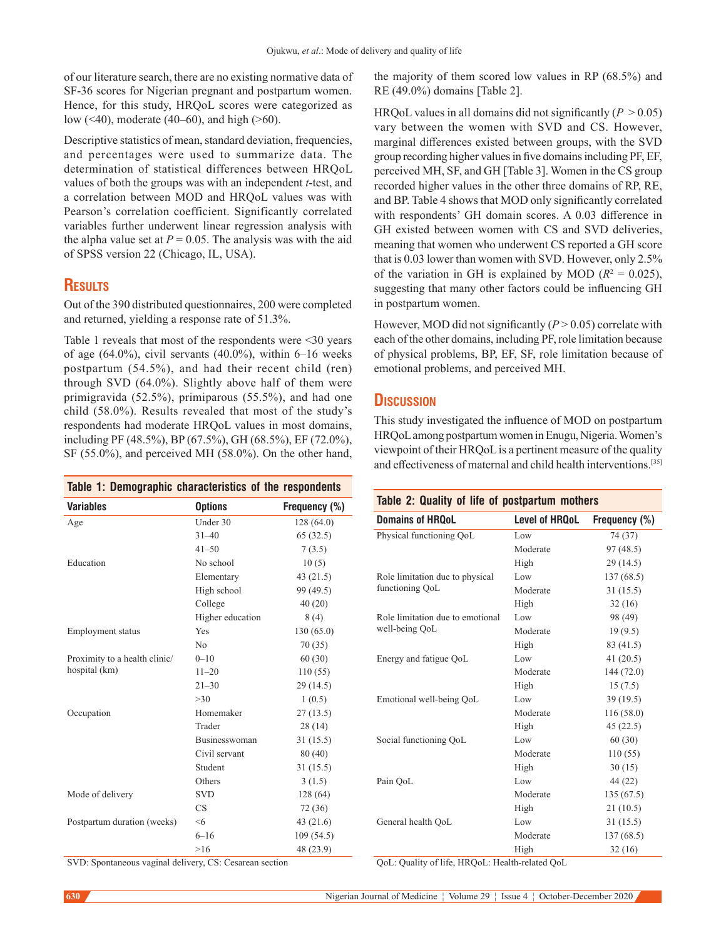of our literature search, there are no existing normative data of SF-36 scores for Nigerian pregnant and postpartum women. Hence, for this study, HRQoL scores were categorized as low (<40), moderate (40–60), and high (>60).

Descriptive statistics of mean, standard deviation, frequencies, and percentages were used to summarize data. The determination of statistical differences between HRQoL values of both the groups was with an independent *t*-test, and a correlation between MOD and HRQoL values was with Pearson's correlation coefficient. Significantly correlated variables further underwent linear regression analysis with the alpha value set at  $P = 0.05$ . The analysis was with the aid of SPSS version 22 (Chicago, IL, USA).

# **Results**

Out of the 390 distributed questionnaires, 200 were completed and returned, yielding a response rate of 51.3%.

Table 1 reveals that most of the respondents were <30 years of age  $(64.0\%)$ , civil servants  $(40.0\%)$ , within  $6-16$  weeks postpartum (54.5%), and had their recent child (ren) through SVD (64.0%). Slightly above half of them were primigravida (52.5%), primiparous (55.5%), and had one child (58.0%). Results revealed that most of the study's respondents had moderate HRQoL values in most domains, including PF (48.5%), BP (67.5%), GH (68.5%), EF (72.0%), SF (55.0%), and perceived MH (58.0%). On the other hand,

| Table 1: Demographic characteristics of the respondents |                      |               |
|---------------------------------------------------------|----------------------|---------------|
| <b>Variables</b>                                        | <b>Options</b>       | Frequency (%) |
| Age                                                     | Under 30             | 128 (64.0)    |
|                                                         | $31 - 40$            | 65(32.5)      |
|                                                         | $41 - 50$            | 7(3.5)        |
| Education                                               | No school            | 10(5)         |
|                                                         | Elementary           | 43(21.5)      |
|                                                         | High school          | 99 (49.5)     |
|                                                         | College              | 40(20)        |
|                                                         | Higher education     | 8(4)          |
| Employment status                                       | Yes                  | 130 (65.0)    |
|                                                         | N <sub>0</sub>       | 70(35)        |
| Proximity to a health clinic/                           | $0 - 10$             | 60(30)        |
| hospital (km)                                           | $11 - 20$            | 110(55)       |
|                                                         | $21 - 30$            | 29(14.5)      |
|                                                         | >30                  | 1(0.5)        |
| Occupation                                              | Homemaker            | 27(13.5)      |
|                                                         | Trader               | 28(14)        |
|                                                         | <b>Businesswoman</b> | 31(15.5)      |
|                                                         | Civil servant        | 80 (40)       |
|                                                         | Student              | 31(15.5)      |
|                                                         | Others               | 3(1.5)        |
| Mode of delivery                                        | <b>SVD</b>           | 128 (64)      |
|                                                         | CS                   | 72 (36)       |
| Postpartum duration (weeks)                             | < 6                  | 43(21.6)      |
|                                                         | $6 - 16$             | 109 (54.5)    |
|                                                         | >16                  | 48 (23.9)     |

the majority of them scored low values in RP (68.5%) and RE (49.0%) domains [Table 2].

HRQoL values in all domains did not significantly  $(P > 0.05)$ vary between the women with SVD and CS. However, marginal differences existed between groups, with the SVD group recording higher values in five domains including PF, EF, perceived MH, SF, and GH [Table 3]. Women in the CS group recorded higher values in the other three domains of RP, RE, and BP. Table 4 shows that MOD only significantly correlated with respondents' GH domain scores. A 0.03 difference in GH existed between women with CS and SVD deliveries, meaning that women who underwent CS reported a GH score that is 0.03 lower than women with SVD. However, only 2.5% of the variation in GH is explained by MOD  $(R^2 = 0.025)$ , suggesting that many other factors could be influencing GH in postpartum women.

However, MOD did not significantly  $(P > 0.05)$  correlate with each of the other domains, including PF, role limitation because of physical problems, BP, EF, SF, role limitation because of emotional problems, and perceived MH.

# **Discussion**

This study investigated the influence of MOD on postpartum HRQoL among postpartum women in Enugu, Nigeria. Women's viewpoint of their HRQoL is a pertinent measure of the quality and effectiveness of maternal and child health interventions.[35]

| Table 2: Quality of life of postpartum mothers |                       |               |
|------------------------------------------------|-----------------------|---------------|
| Domains of HROoL                               | <b>Level of HROoL</b> | Frequency (%) |
| Physical functioning QoL                       | Low                   | 74 (37)       |
|                                                | Moderate              | 97 (48.5)     |
|                                                | High                  | 29(14.5)      |
| Role limitation due to physical                | Low                   | 137 (68.5)    |
| functioning QoL                                | Moderate              | 31(15.5)      |
|                                                | High                  | 32(16)        |
| Role limitation due to emotional               | Low                   | 98 (49)       |
| well-being QoL                                 | Moderate              | 19(9.5)       |
|                                                | High                  | 83 (41.5)     |
| Energy and fatigue QoL                         | Low                   | 41(20.5)      |
|                                                | Moderate              | 144(72.0)     |
|                                                | High                  | 15(7.5)       |
| Emotional well-being QoL                       | Low                   | 39(19.5)      |
|                                                | Moderate              | 116(58.0)     |
|                                                | High                  | 45(22.5)      |
| Social functioning QoL                         | Low                   | 60(30)        |
|                                                | Moderate              | 110(55)       |
|                                                | High                  | 30(15)        |
| Pain OoL                                       | Low                   | 44 (22)       |
|                                                | Moderate              | 135(67.5)     |
|                                                | High                  | 21(10.5)      |
| General health QoL                             | Low                   | 31(15.5)      |
|                                                | Moderate              | 137 (68.5)    |

High 32 (16)

SVD: Spontaneous vaginal delivery, CS: Cesarean section

QoL: Quality of life, HRQoL: Health-related QoL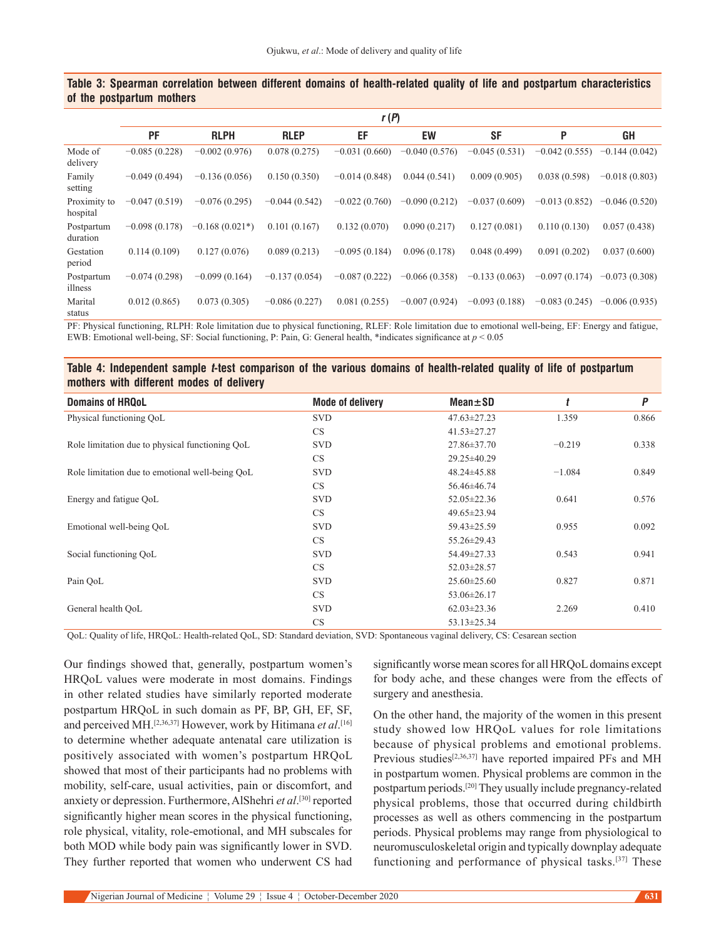## **Table 3: Spearman correlation between different domains of health-related quality of life and postpartum characteristics of the postpartum mothers**

|                          | r(P)            |                  |                 |                 |                 |                 |                 |                 |
|--------------------------|-----------------|------------------|-----------------|-----------------|-----------------|-----------------|-----------------|-----------------|
|                          | <b>PF</b>       | <b>RLPH</b>      | <b>RLEP</b>     | EF              | EW              | <b>SF</b>       | P               | <b>GH</b>       |
| Mode of<br>delivery      | $-0.085(0.228)$ | $-0.002(0.976)$  | 0.078(0.275)    | $-0.031(0.660)$ | $-0.040(0.576)$ | $-0.045(0.531)$ | $-0.042(0.555)$ | $-0.144(0.042)$ |
| Family<br>setting        | $-0.049(0.494)$ | $-0.136(0.056)$  | 0.150(0.350)    | $-0.014(0.848)$ | 0.044(0.541)    | 0.009(0.905)    | 0.038(0.598)    | $-0.018(0.803)$ |
| Proximity to<br>hospital | $-0.047(0.519)$ | $-0.076(0.295)$  | $-0.044(0.542)$ | $-0.022(0.760)$ | $-0.090(0.212)$ | $-0.037(0.609)$ | $-0.013(0.852)$ | $-0.046(0.520)$ |
| Postpartum<br>duration   | $-0.098(0.178)$ | $-0.168(0.021*)$ | 0.101(0.167)    | 0.132(0.070)    | 0.090(0.217)    | 0.127(0.081)    | 0.110(0.130)    | 0.057(0.438)    |
| Gestation<br>period      | 0.114(0.109)    | 0.127(0.076)     | 0.089(0.213)    | $-0.095(0.184)$ | 0.096(0.178)    | 0.048(0.499)    | 0.091(0.202)    | 0.037(0.600)    |
| Postpartum<br>illness    | $-0.074(0.298)$ | $-0.099(0.164)$  | $-0.137(0.054)$ | $-0.087(0.222)$ | $-0.066(0.358)$ | $-0.133(0.063)$ | $-0.097(0.174)$ | $-0.073(0.308)$ |
| Marital<br>status        | 0.012(0.865)    | 0.073(0.305)     | $-0.086(0.227)$ | 0.081(0.255)    | $-0.007(0.924)$ | $-0.093(0.188)$ | $-0.083(0.245)$ | $-0.006(0.935)$ |

PF: Physical functioning, RLPH: Role limitation due to physical functioning, RLEF: Role limitation due to emotional well-being, EF: Energy and fatigue, EWB: Emotional well-being, SF: Social functioning, P: Pain, G: General health, \*indicates significance at *p* < 0.05

## **Table 4: Independent sample t-test comparison of the various domains of health-related quality of life of postpartum mothers with different modes of delivery**

| <b>Domains of HRQoL</b>                         | <b>Mode of delivery</b> | $Mean \pm SD$     |          | P     |
|-------------------------------------------------|-------------------------|-------------------|----------|-------|
| Physical functioning QoL                        | <b>SVD</b>              | $47.63 \pm 27.23$ | 1.359    | 0.866 |
|                                                 | CS                      | $41.53 \pm 27.27$ |          |       |
| Role limitation due to physical functioning QoL | <b>SVD</b>              | 27.86±37.70       | $-0.219$ | 0.338 |
|                                                 | CS                      | 29.25±40.29       |          |       |
| Role limitation due to emotional well-being QoL | <b>SVD</b>              | 48.24±45.88       | $-1.084$ | 0.849 |
|                                                 | CS                      | 56.46±46.74       |          |       |
| Energy and fatigue QoL                          | <b>SVD</b>              | $52.05 \pm 22.36$ | 0.641    | 0.576 |
|                                                 | CS                      | 49.65±23.94       |          |       |
| Emotional well-being QoL                        | <b>SVD</b>              | 59.43±25.59       | 0.955    | 0.092 |
|                                                 | CS                      | 55.26±29.43       |          |       |
| Social functioning QoL                          | <b>SVD</b>              | 54.49±27.33       | 0.543    | 0.941 |
|                                                 | CS                      | $52.03 \pm 28.57$ |          |       |
| Pain OoL                                        | <b>SVD</b>              | $25.60 \pm 25.60$ | 0.827    | 0.871 |
|                                                 | CS.                     | $53.06 \pm 26.17$ |          |       |
| General health OoL                              | <b>SVD</b>              | $62.03 \pm 23.36$ | 2.269    | 0.410 |
|                                                 | CS                      | $53.13 \pm 25.34$ |          |       |

QoL: Quality of life, HRQoL: Health-related QoL, SD: Standard deviation, SVD: Spontaneous vaginal delivery, CS: Cesarean section

Our findings showed that, generally, postpartum women's HRQoL values were moderate in most  domains. Findings in other related studies have similarly reported moderate postpartum HRQoL in such domain as PF, BP, GH, EF, SF, and perceived MH.[2,36,37] However, work by Hitimana *et al*. [16] to determine whether adequate antenatal care utilization is positively associated with women's postpartum HRQoL showed that most of their participants had no problems with mobility, self-care, usual activities, pain or discomfort, and anxiety or depression. Furthermore, AlShehri *et al*. [30] reported significantly higher mean scores in the physical functioning, role physical, vitality, role-emotional, and MH subscales for both MOD while body pain was significantly lower in SVD. They further reported that women who underwent CS had

significantly worse mean scores for all HRQoL domains except for body ache, and these changes were from the effects of surgery and anesthesia.

On the other hand, the majority of the women in this present study showed low HRQoL values for role limitations because of physical problems and emotional problems. Previous studies<sup>[2,36,37]</sup> have reported impaired PFs and MH in postpartum women. Physical problems are common in the postpartum periods.<sup>[20]</sup> They usually include pregnancy-related physical problems, those that occurred during childbirth processes as well as others commencing in the postpartum periods. Physical problems may range from physiological to neuromusculoskeletal origin and typically downplay adequate functioning and performance of physical tasks.[37] These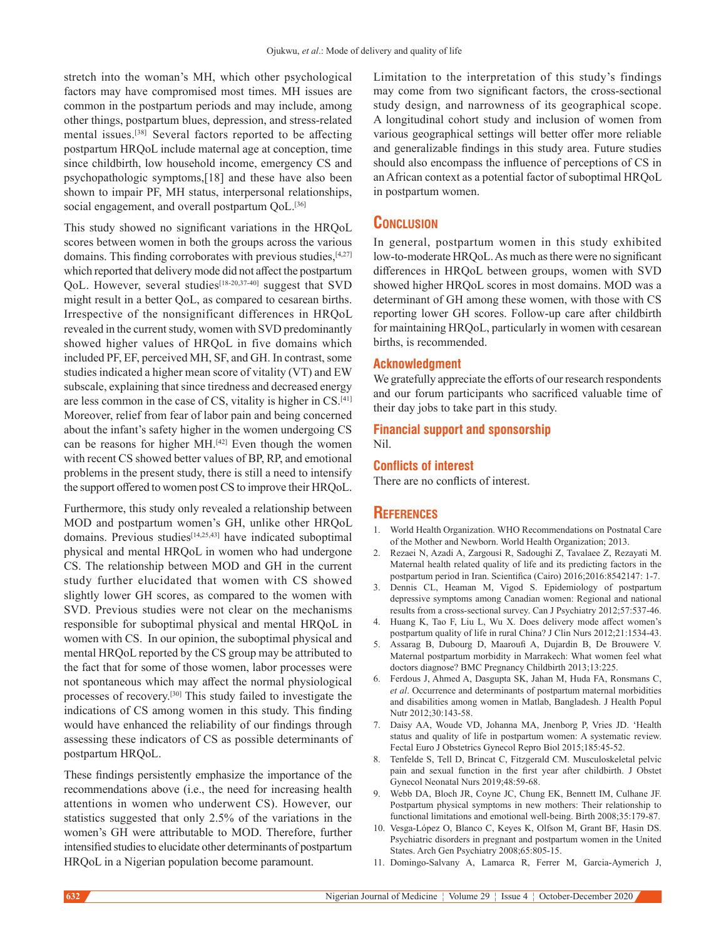stretch into the woman's MH, which other psychological factors may have compromised most times. MH issues are common in the postpartum periods and may include, among other things, postpartum blues, depression, and stress‑related mental issues.[38] Several factors reported to be affecting postpartum HRQoL include maternal age at conception, time since childbirth, low household income, emergency CS and psychopathologic symptoms,[18] and these have also been shown to impair PF, MH status, interpersonal relationships, social engagement, and overall postpartum QoL.<sup>[36]</sup>

This study showed no significant variations in the HRQoL scores between women in both the groups across the various domains. This finding corroborates with previous studies,  $[4,27]$ which reported that delivery mode did not affect the postpartum QoL. However, several studies<sup>[18-20,37-40]</sup> suggest that SVD might result in a better QoL, as compared to cesarean births. Irrespective of the nonsignificant differences in HRQoL revealed in the current study, women with SVD predominantly showed higher values of HRQoL in five domains which included PF, EF, perceived MH, SF, and GH. In contrast, some studies indicated a higher mean score of vitality (VT) and EW subscale, explaining that since tiredness and decreased energy are less common in the case of CS, vitality is higher in CS.[41] Moreover, relief from fear of labor pain and being concerned about the infant's safety higher in the women undergoing CS can be reasons for higher MH.<sup>[42]</sup> Even though the women with recent CS showed better values of BP, RP, and emotional problems in the present study, there is still a need to intensify the support offered to women post CS to improve their HRQoL.

Furthermore, this study only revealed a relationship between MOD and postpartum women's GH, unlike other HRQoL domains. Previous studies<sup>[14,25,43]</sup> have indicated suboptimal physical and mental HRQoL in women who had undergone CS. The relationship between MOD and GH in the current study further elucidated that women with CS showed slightly lower GH scores, as compared to the women with SVD. Previous studies were not clear on the mechanisms responsible for suboptimal physical and mental HRQoL in women with CS. In our opinion, the suboptimal physical and mental HRQoL reported by the CS group may be attributed to the fact that for some of those women, labor processes were not spontaneous which may affect the normal physiological processes of recovery.[30] This study failed to investigate the indications of CS among women in this study. This finding would have enhanced the reliability of our findings through assessing these indicators of CS as possible determinants of postpartum HRQoL.

These findings persistently emphasize the importance of the recommendations above (i.e., the need for increasing health attentions in women who underwent CS). However, our statistics suggested that only 2.5% of the variations in the women's GH were attributable to MOD. Therefore, further intensified studies to elucidate other determinants of postpartum HRQoL in a Nigerian population become paramount.

Limitation to the interpretation of this study's findings may come from two significant factors, the cross-sectional study design, and narrowness of its geographical scope. A longitudinal cohort study and inclusion of women from various geographical settings will better offer more reliable and generalizable findings in this study area. Future studies should also encompass the influence of perceptions of CS in an African context as a potential factor of suboptimal HRQoL in postpartum women.

# **Conclusion**

In general, postpartum women in this study exhibited low-to-moderate HRQoL. As much as there were no significant differences in HRQoL between groups, women with SVD showed higher HRQoL scores in most domains. MOD was a determinant of GH among these women, with those with CS reporting lower GH scores. Follow‑up care after childbirth for maintaining HRQoL, particularly in women with cesarean births, is recommended.

# **Acknowledgment**

We gratefully appreciate the efforts of our research respondents and our forum participants who sacrificed valuable time of their day jobs to take part in this study.

## **Financial support and sponsorship** Nil.

#### **Conflicts of interest**

There are no conflicts of interest.

# **References**

- 1. World Health Organization. WHO Recommendations on Postnatal Care of the Mother and Newborn. World Health Organization; 2013.
- 2. Rezaei N, Azadi A, Zargousi R, Sadoughi Z, Tavalaee Z, Rezayati M. Maternal health related quality of life and its predicting factors in the postpartum period in Iran. Scientifica (Cairo) 2016;2016:8542147: 1-7.
- 3. Dennis CL, Heaman M, Vigod S. Epidemiology of postpartum depressive symptoms among Canadian women: Regional and national results from a cross-sectional survey. Can J Psychiatry 2012;57:537-46.
- 4. Huang K, Tao F, Liu L, Wu X. Does delivery mode affect women's postpartum quality of life in rural China? J Clin Nurs 2012;21:1534-43.
- 5. Assarag B, Dubourg D, Maaroufi A, Dujardin B, De Brouwere V. Maternal postpartum morbidity in Marrakech: What women feel what doctors diagnose? BMC Pregnancy Childbirth 2013;13:225.
- 6. Ferdous J, Ahmed A, Dasgupta SK, Jahan M, Huda FA, Ronsmans C, *et al*. Occurrence and determinants of postpartum maternal morbidities and disabilities among women in Matlab, Bangladesh. J Health Popul Nutr 2012:30:143-58.
- 7. Daisy AA, Woude VD, Johanna MA, Jnenborg P, Vries JD. 'Health status and quality of life in postpartum women: A systematic review. Fectal Euro J Obstetrics Gynecol Repro Biol 2015;185:45‑52.
- 8. Tenfelde S, Tell D, Brincat C, Fitzgerald CM. Musculoskeletal pelvic pain and sexual function in the first year after childbirth. J Obstet Gynecol Neonatal Nurs 2019;48:59‑68.
- 9. Webb DA, Bloch JR, Coyne JC, Chung EK, Bennett IM, Culhane JF. Postpartum physical symptoms in new mothers: Their relationship to functional limitations and emotional well‑being. Birth 2008;35:179‑87.
- 10. Vesga‑López O, Blanco C, Keyes K, Olfson M, Grant BF, Hasin DS. Psychiatric disorders in pregnant and postpartum women in the United States. Arch Gen Psychiatry 2008;65:805-15.
- 11. Domingo‑Salvany A, Lamarca R, Ferrer M, Garcia‑Aymerich J,